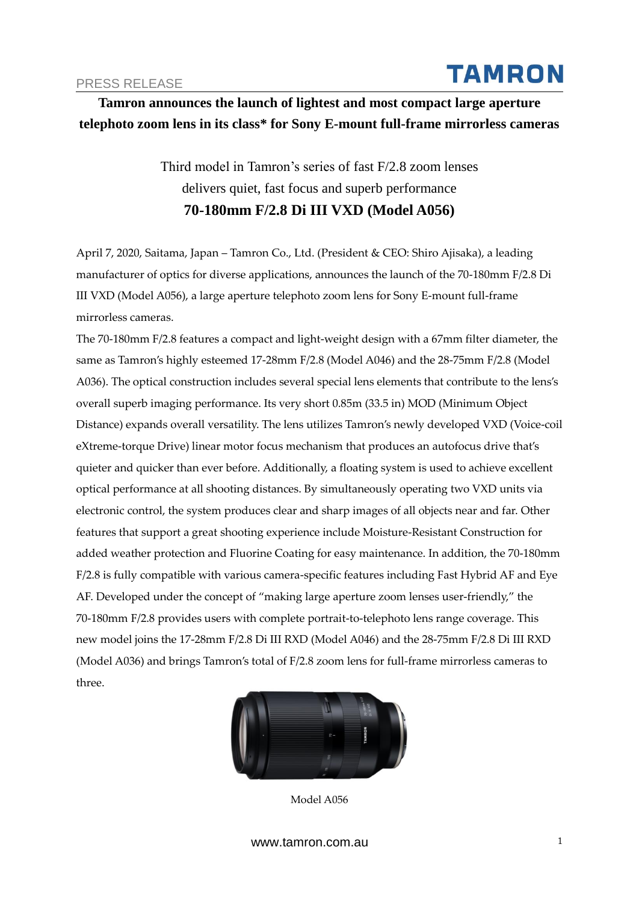# **TAMRON**

## **Tamron announces the launch of lightest and most compact large aperture telephoto zoom lens in its class\* for Sony E-mount full-frame mirrorless cameras**

Third model in Tamron's series of fast F/2.8 zoom lenses delivers quiet, fast focus and superb performance **70-180mm F/2.8 Di III VXD (Model A056)**

April 7, 2020, Saitama, Japan – Tamron Co., Ltd. (President & CEO: Shiro Ajisaka), a leading manufacturer of optics for diverse applications, announces the launch of the 70-180mm F/2.8 Di III VXD (Model A056), a large aperture telephoto zoom lens for Sony E-mount full-frame mirrorless cameras.

The 70-180mm F/2.8 features a compact and light-weight design with a 67mm filter diameter, the same as Tamron's highly esteemed 17-28mm F/2.8 (Model A046) and the 28-75mm F/2.8 (Model A036). The optical construction includes several special lens elements that contribute to the lens's overall superb imaging performance. Its very short 0.85m (33.5 in) MOD (Minimum Object Distance) expands overall versatility. The lens utilizes Tamron's newly developed VXD (Voice-coil eXtreme-torque Drive) linear motor focus mechanism that produces an autofocus drive that's quieter and quicker than ever before. Additionally, a floating system is used to achieve excellent optical performance at all shooting distances. By simultaneously operating two VXD units via electronic control, the system produces clear and sharp images of all objects near and far. Other features that support a great shooting experience include Moisture-Resistant Construction for added weather protection and Fluorine Coating for easy maintenance. In addition, the 70-180mm F/2.8 is fully compatible with various camera-specific features including Fast Hybrid AF and Eye AF. Developed under the concept of "making large aperture zoom lenses user-friendly," the 70-180mm F/2.8 provides users with complete portrait-to-telephoto lens range coverage. This new model joins the 17-28mm F/2.8 Di III RXD (Model A046) and the 28-75mm F/2.8 Di III RXD (Model A036) and brings Tamron's total of F/2.8 zoom lens for full-frame mirrorless cameras to three.



Model A056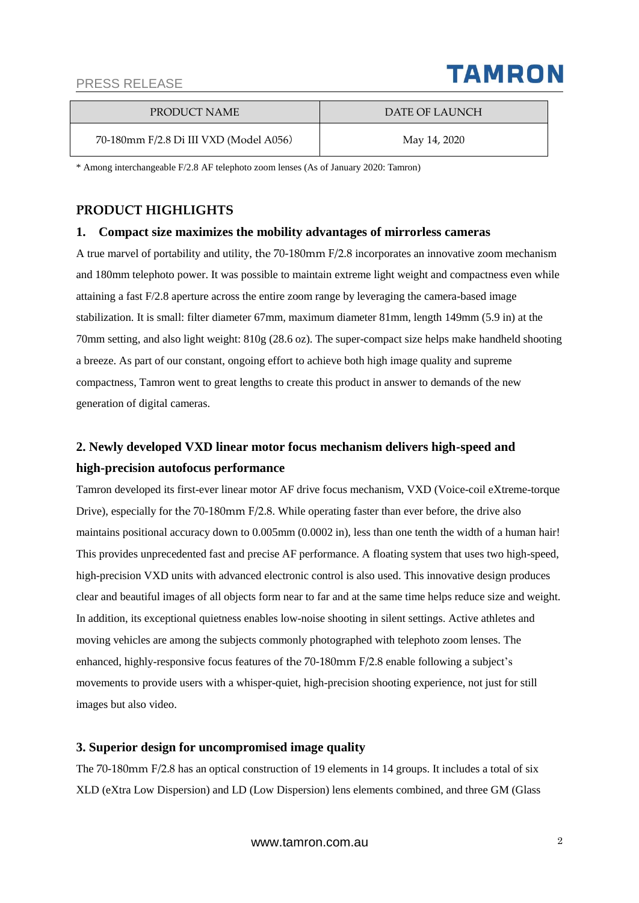

| PRODUCT NAME                           | DATE OF LAUNCH |
|----------------------------------------|----------------|
| 70-180mm F/2.8 Di III VXD (Model A056) | May 14, 2020   |

\* Among interchangeable F/2.8 AF telephoto zoom lenses (As of January 2020: Tamron)

#### **PRODUCT HIGHLIGHTS**

#### **1. Compact size maximizes the mobility advantages of mirrorless cameras**

A true marvel of portability and utility, the 70-180mm F/2.8 incorporates an innovative zoom mechanism and 180mm telephoto power. It was possible to maintain extreme light weight and compactness even while attaining a fast F/2.8 aperture across the entire zoom range by leveraging the camera-based image stabilization. It is small: filter diameter 67mm, maximum diameter 81mm, length 149mm (5.9 in) at the 70mm setting, and also light weight: 810g (28.6 oz). The super-compact size helps make handheld shooting a breeze. As part of our constant, ongoing effort to achieve both high image quality and supreme compactness, Tamron went to great lengths to create this product in answer to demands of the new generation of digital cameras.

### **2. Newly developed VXD linear motor focus mechanism delivers high-speed and high-precision autofocus performance**

Tamron developed its first-ever linear motor AF drive focus mechanism, VXD (Voice-coil eXtreme-torque Drive), especially for the 70-180mm F/2.8. While operating faster than ever before, the drive also maintains positional accuracy down to 0.005mm (0.0002 in), less than one tenth the width of a human hair! This provides unprecedented fast and precise AF performance. A floating system that uses two high-speed, high-precision VXD units with advanced electronic control is also used. This innovative design produces clear and beautiful images of all objects form near to far and at the same time helps reduce size and weight. In addition, its exceptional quietness enables low-noise shooting in silent settings. Active athletes and moving vehicles are among the subjects commonly photographed with telephoto zoom lenses. The enhanced, highly-responsive focus features of the 70-180mm F/2.8 enable following a subject's movements to provide users with a whisper-quiet, high-precision shooting experience, not just for still images but also video.

#### **3. Superior design for uncompromised image quality**

The 70-180mm F/2.8 has an optical construction of 19 elements in 14 groups. It includes a total of six XLD (eXtra Low Dispersion) and LD (Low Dispersion) lens elements combined, and three GM (Glass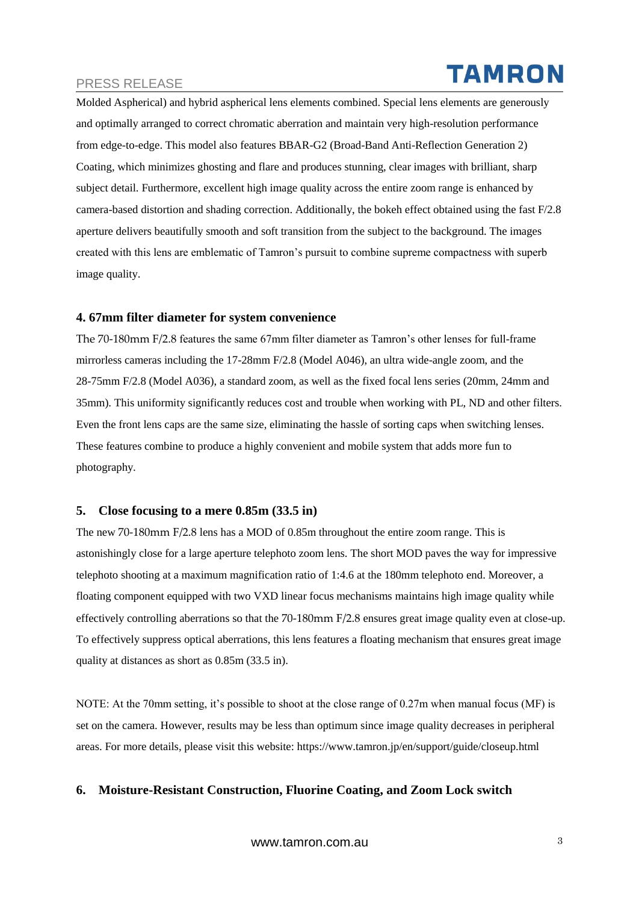# **TAMRON**

Molded Aspherical) and hybrid aspherical lens elements combined. Special lens elements are generously and optimally arranged to correct chromatic aberration and maintain very high-resolution performance from edge-to-edge. This model also features BBAR-G2 (Broad-Band Anti-Reflection Generation 2) Coating, which minimizes ghosting and flare and produces stunning, clear images with brilliant, sharp subject detail. Furthermore, excellent high image quality across the entire zoom range is enhanced by camera-based distortion and shading correction. Additionally, the bokeh effect obtained using the fast F/2.8 aperture delivers beautifully smooth and soft transition from the subject to the background. The images created with this lens are emblematic of Tamron's pursuit to combine supreme compactness with superb image quality.

#### **4. 67mm filter diameter for system convenience**

The 70-180mm F/2.8 features the same 67mm filter diameter as Tamron's other lenses for full-frame mirrorless cameras including the 17-28mm F/2.8 (Model A046), an ultra wide-angle zoom, and the 28-75mm F/2.8 (Model A036), a standard zoom, as well as the fixed focal lens series (20mm, 24mm and 35mm). This uniformity significantly reduces cost and trouble when working with PL, ND and other filters. Even the front lens caps are the same size, eliminating the hassle of sorting caps when switching lenses. These features combine to produce a highly convenient and mobile system that adds more fun to photography.

#### **5. Close focusing to a mere 0.85m (33.5 in)**

The new 70-180mm F/2.8 lens has a MOD of 0.85m throughout the entire zoom range. This is astonishingly close for a large aperture telephoto zoom lens. The short MOD paves the way for impressive telephoto shooting at a maximum magnification ratio of 1:4.6 at the 180mm telephoto end. Moreover, a floating component equipped with two VXD linear focus mechanisms maintains high image quality while effectively controlling aberrations so that the 70-180mm F/2.8 ensures great image quality even at close-up. To effectively suppress optical aberrations, this lens features a floating mechanism that ensures great image quality at distances as short as 0.85m (33.5 in).

NOTE: At the 70mm setting, it's possible to shoot at the close range of 0.27m when manual focus (MF) is set on the camera. However, results may be less than optimum since image quality decreases in peripheral areas. For more details, please visit this website: https://www.tamron.jp/en/support/guide/closeup.html

#### **6. Moisture-Resistant Construction, Fluorine Coating, and Zoom Lock switch**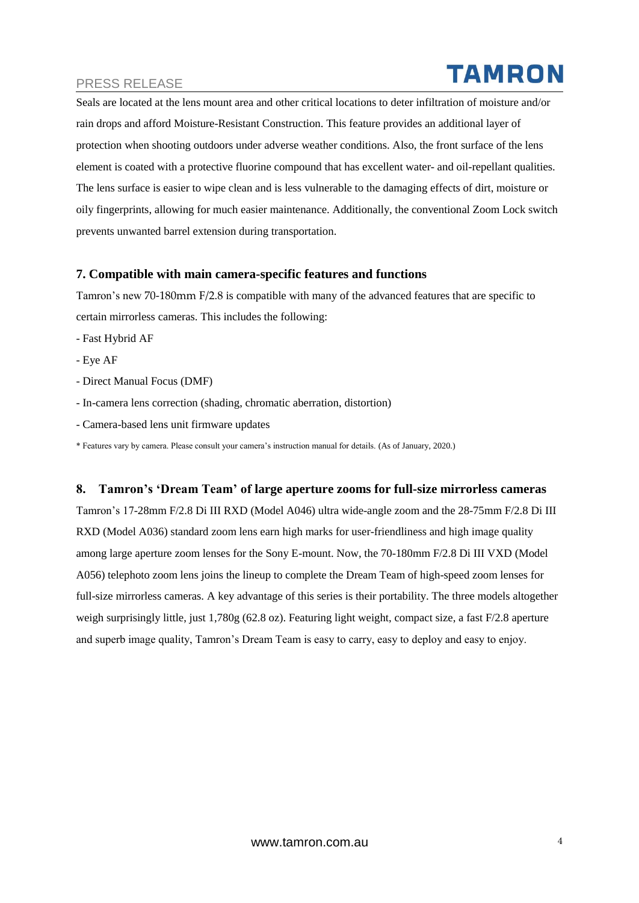Seals are located at the lens mount area and other critical locations to deter infiltration of moisture and/or rain drops and afford Moisture-Resistant Construction. This feature provides an additional layer of protection when shooting outdoors under adverse weather conditions. Also, the front surface of the lens element is coated with a protective fluorine compound that has excellent water- and oil-repellant qualities. The lens surface is easier to wipe clean and is less vulnerable to the damaging effects of dirt, moisture or oily fingerprints, allowing for much easier maintenance. Additionally, the conventional Zoom Lock switch prevents unwanted barrel extension during transportation.

#### **7. Compatible with main camera-specific features and functions**

Tamron's new 70-180mm F/2.8 is compatible with many of the advanced features that are specific to certain mirrorless cameras. This includes the following:

- Fast Hybrid AF
- Eye AF
- Direct Manual Focus (DMF)
- In-camera lens correction (shading, chromatic aberration, distortion)
- Camera-based lens unit firmware updates

\* Features vary by camera. Please consult your camera's instruction manual for details. (As of January, 2020.)

#### **8. Tamron's 'Dream Team' of large aperture zooms for full-size mirrorless cameras**

Tamron's 17-28mm F/2.8 Di III RXD (Model A046) ultra wide-angle zoom and the 28-75mm F/2.8 Di III RXD (Model A036) standard zoom lens earn high marks for user-friendliness and high image quality among large aperture zoom lenses for the Sony E-mount. Now, the 70-180mm F/2.8 Di III VXD (Model A056) telephoto zoom lens joins the lineup to complete the Dream Team of high-speed zoom lenses for full-size mirrorless cameras. A key advantage of this series is their portability. The three models altogether weigh surprisingly little, just 1,780g (62.8 oz). Featuring light weight, compact size, a fast F/2.8 aperture and superb image quality, Tamron's Dream Team is easy to carry, easy to deploy and easy to enjoy.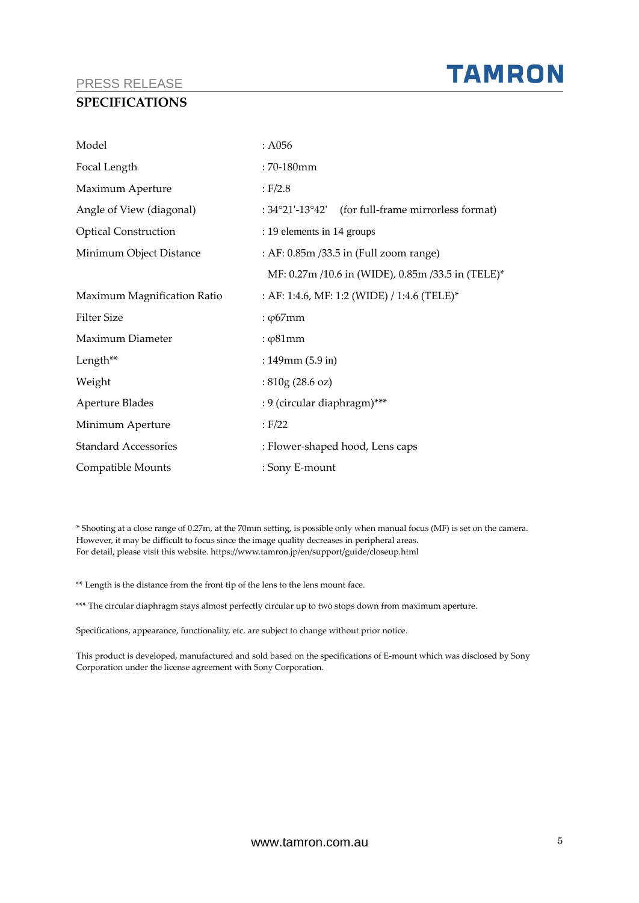#### **SPECIFICATIONS**

| Model                       | : A056                                             |
|-----------------------------|----------------------------------------------------|
| Focal Length                | $:70-180$ mm                                       |
| Maximum Aperture            | E/2.8                                              |
| Angle of View (diagonal)    | : 34°21'-13°42' (for full-frame mirrorless format) |
| <b>Optical Construction</b> | : 19 elements in 14 groups                         |
| Minimum Object Distance     | : AF: 0.85m /33.5 in (Full zoom range)             |
|                             | MF: 0.27m /10.6 in (WIDE), 0.85m /33.5 in (TELE)*  |
| Maximum Magnification Ratio | : AF: 1:4.6, MF: 1:2 (WIDE) / 1:4.6 (TELE)*        |
| <b>Filter Size</b>          | : $\varphi$ 67mm                                   |
| Maximum Diameter            | : $\varphi$ 81mm                                   |
| Length**                    | : $149$ mm $(5.9 \text{ in})$                      |
| Weight                      | : $810g(28.6 oz)$                                  |
| Aperture Blades             | : 9 (circular diaphragm)***                        |
| Minimum Aperture            | : F/22                                             |
| <b>Standard Accessories</b> | : Flower-shaped hood, Lens caps                    |
| Compatible Mounts           | : Sony E-mount                                     |

\* Shooting at a close range of 0.27m, at the 70mm setting, is possible only when manual focus (MF) is set on the camera. However, it may be difficult to focus since the image quality decreases in peripheral areas. For detail, please visit this website. https://www.tamron.jp/en/support/guide/closeup.html

\*\* Length is the distance from the front tip of the lens to the lens mount face.

\*\*\* The circular diaphragm stays almost perfectly circular up to two stops down from maximum aperture.

Specifications, appearance, functionality, etc. are subject to change without prior notice.

This product is developed, manufactured and sold based on the specifications of E-mount which was disclosed by Sony Corporation under the license agreement with Sony Corporation.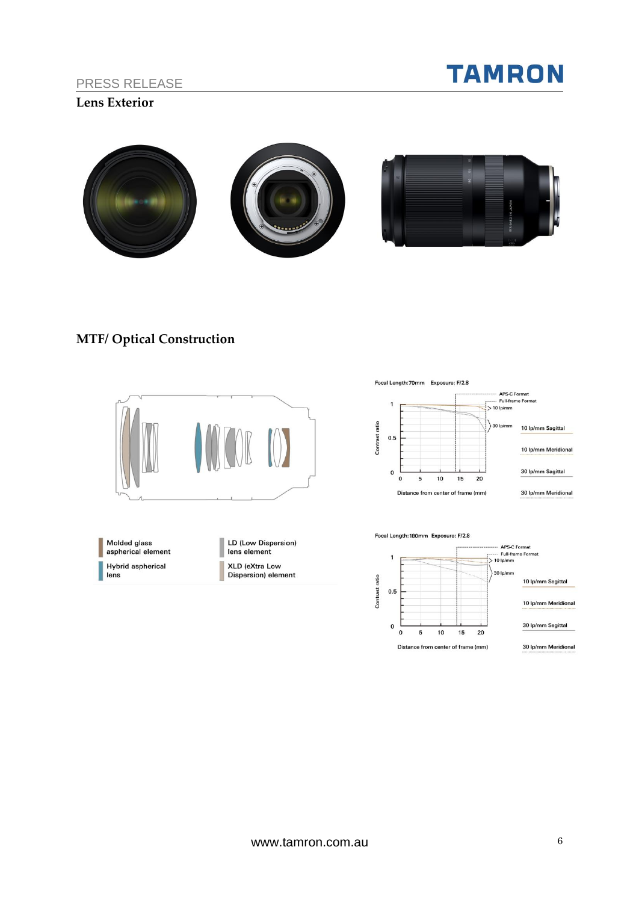

#### **Lens Exterior**



# **MTF/ Optical Construction**



Molded glass aspherical element **Hybrid aspherical**  $lens$ 

LD (Low Dispersion) lens element **XLD** (eXtra Low Dispersion) element

Focal Length: 70mm Exposure: F/2.8



Focal Length: 180mm Exposure: F/2.8